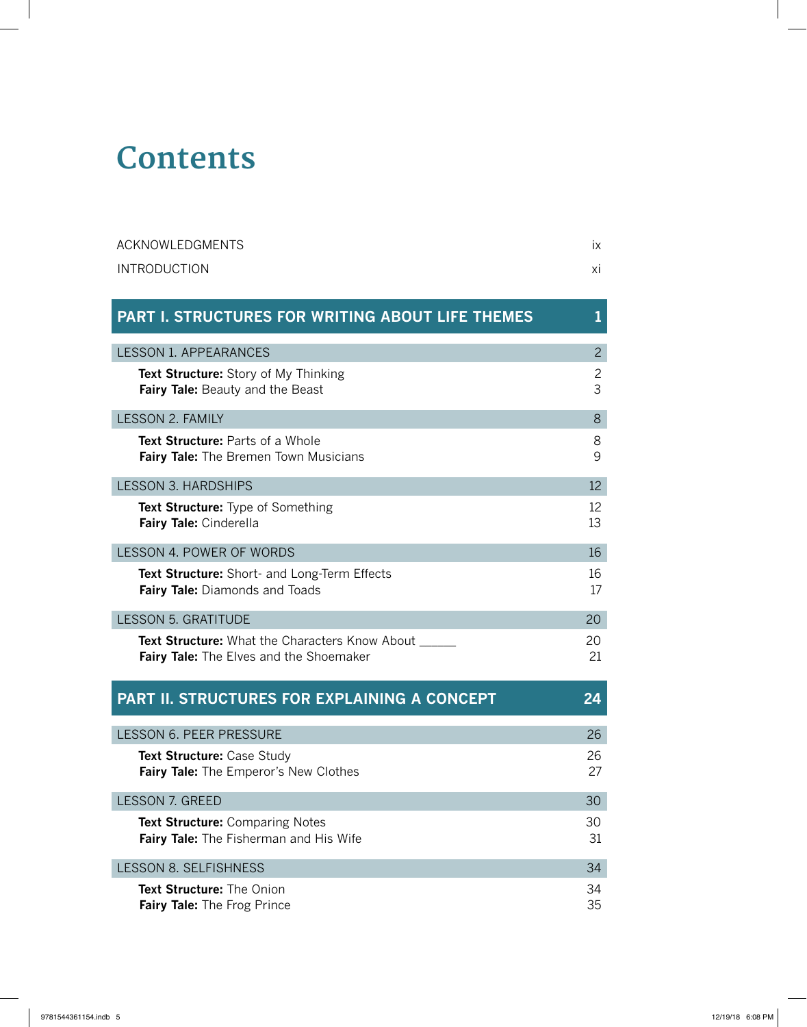## **Contents**

| <b>ACKNOWLEDGMENTS</b> |  |
|------------------------|--|
| <b>INTRODUCTION</b>    |  |

| <b>PART I. STRUCTURES FOR WRITING ABOUT LIFE THEMES</b>                                              |                     |
|------------------------------------------------------------------------------------------------------|---------------------|
| <b>LESSON 1. APPEARANCES</b>                                                                         | $\overline{2}$      |
| Text Structure: Story of My Thinking<br><b>Fairy Tale:</b> Beauty and the Beast                      | $\overline{c}$<br>3 |
| LESSON 2. FAMILY                                                                                     | 8                   |
| <b>Text Structure: Parts of a Whole</b><br>Fairy Tale: The Bremen Town Musicians                     | 8<br>9              |
| <b>LESSON 3. HARDSHIPS</b>                                                                           | 12                  |
| <b>Text Structure:</b> Type of Something<br>Fairy Tale: Cinderella                                   | 12<br>13            |
| LESSON 4. POWER OF WORDS                                                                             | 16                  |
| Text Structure: Short- and Long-Term Effects<br><b>Fairy Tale:</b> Diamonds and Toads                | 16<br>17            |
| <b>LESSON 5. GRATITUDE</b>                                                                           | 20                  |
| <b>Text Structure:</b> What the Characters Know About ___<br>Fairy Tale: The Elves and the Shoemaker | 20<br>21            |

| <b>PART II. STRUCTURES FOR EXPLAINING A CONCEPT</b>                                     | 24       |
|-----------------------------------------------------------------------------------------|----------|
| <b>LESSON 6. PEER PRESSURE</b>                                                          | 26       |
| <b>Text Structure: Case Study</b><br>Fairy Tale: The Emperor's New Clothes              | 26<br>27 |
| <b>LESSON 7. GREED</b>                                                                  | 30       |
| <b>Text Structure: Comparing Notes</b><br><b>Fairy Tale:</b> The Fisherman and His Wife | 30<br>31 |
| <b>LESSON 8. SELFISHNESS</b>                                                            | 34       |
| <b>Text Structure:</b> The Onion<br><b>Fairy Tale:</b> The Frog Prince                  | 34<br>35 |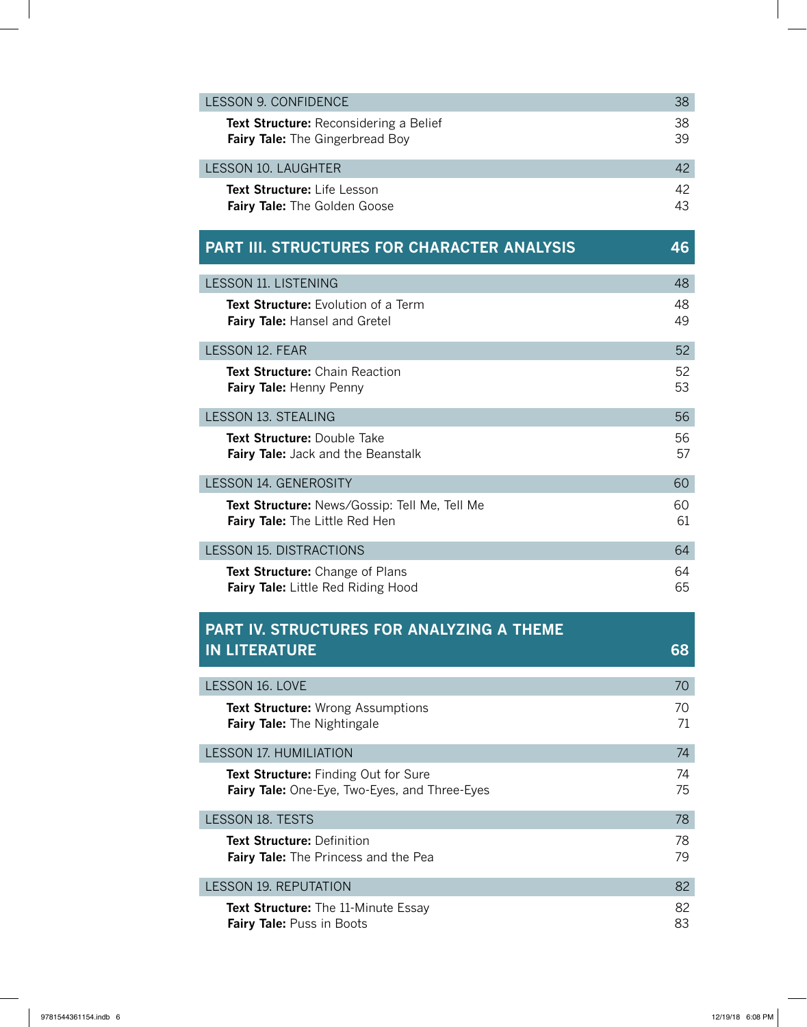| LESSON 9. CONFIDENCE                          | 38 |
|-----------------------------------------------|----|
| <b>Text Structure:</b> Reconsidering a Belief | 38 |
| Fairy Tale: The Gingerbread Boy               | 39 |
| LESSON 10. LAUGHTER                           | 42 |
| <b>Text Structure:</b> Life Lesson            | 42 |
| <b>Fairy Tale:</b> The Golden Goose           | 43 |

## **PART III. STRUCTURES FOR CHARACTER ANALYSIS 46**

| <b>LESSON 11. LISTENING</b>                                                            | 48       |
|----------------------------------------------------------------------------------------|----------|
| <b>Text Structure:</b> Evolution of a Term<br><b>Fairy Tale: Hansel and Gretel</b>     | 48<br>49 |
| LESSON 12. FEAR                                                                        | 52       |
| <b>Text Structure:</b> Chain Reaction<br><b>Fairy Tale: Henny Penny</b>                | 52<br>53 |
| <b>LESSON 13. STEALING</b>                                                             | 56       |
| Text Structure: Double Take<br>Fairy Tale: Jack and the Beanstalk                      | 56<br>57 |
| <b>LESSON 14. GENEROSITY</b>                                                           | 60       |
| Text Structure: News/Gossip: Tell Me, Tell Me<br><b>Fairy Tale:</b> The Little Red Hen | 60<br>61 |
| <b>LESSON 15. DISTRACTIONS</b>                                                         | 64       |
| Text Structure: Change of Plans<br><b>Fairy Tale:</b> Little Red Riding Hood           | 64<br>65 |

## **PART IV. STRUCTURES FOR ANALYZING A THEME IN LITERATURE 68**

| LESSON 16. LOVE                                                                              | 70       |
|----------------------------------------------------------------------------------------------|----------|
| <b>Text Structure:</b> Wrong Assumptions<br><b>Fairy Tale:</b> The Nightingale               | 70<br>71 |
| <b>LESSON 17. HUMILIATION</b>                                                                | 74       |
| <b>Text Structure:</b> Finding Out for Sure<br>Fairy Tale: One-Eye, Two-Eyes, and Three-Eyes | 74<br>75 |
| <b>LESSON 18. TESTS</b>                                                                      | 78       |
| <b>Text Structure: Definition</b><br><b>Fairy Tale:</b> The Princess and the Pea             | 78<br>79 |
| <b>LESSON 19. REPUTATION</b>                                                                 | 82       |
| <b>Text Structure:</b> The 11-Minute Essay<br><b>Fairy Tale:</b> Puss in Boots               | 82<br>83 |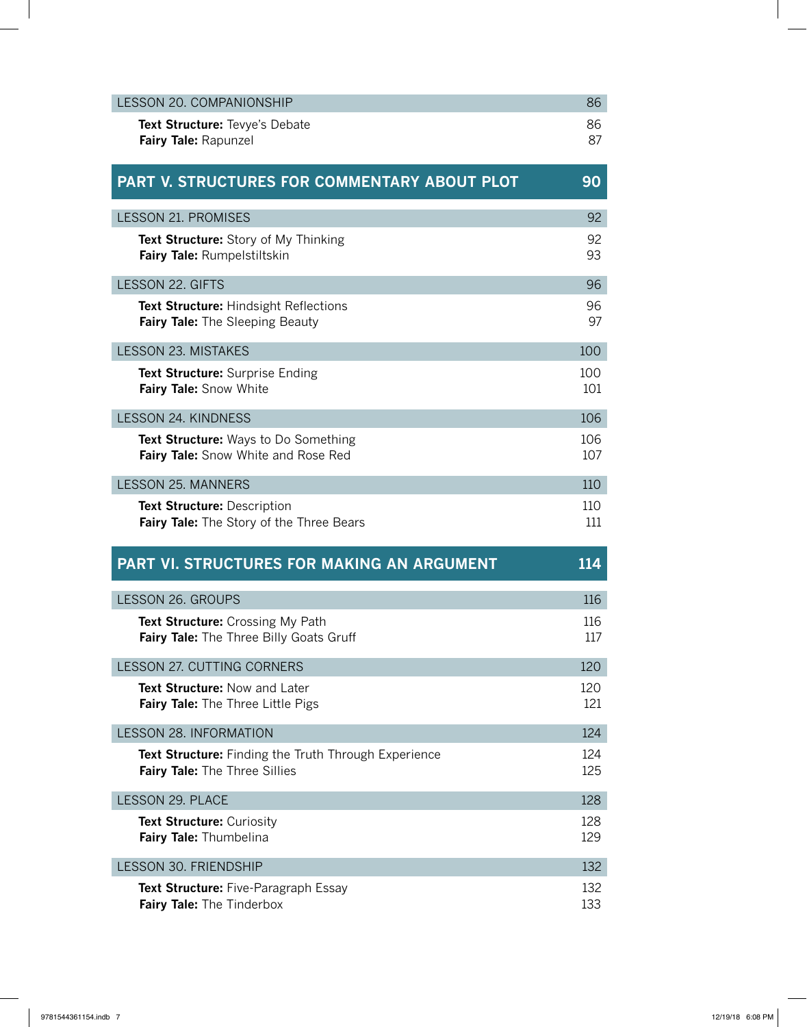| <b>LESSON 20. COMPANIONSHIP</b>                                                       | 86         |
|---------------------------------------------------------------------------------------|------------|
| Text Structure: Tevye's Debate<br>Fairy Tale: Rapunzel                                | 86<br>87   |
| PART V. STRUCTURES FOR COMMENTARY ABOUT PLOT                                          | 90         |
| <b>LESSON 21. PROMISES</b>                                                            | 92         |
| Text Structure: Story of My Thinking<br>Fairy Tale: Rumpelstiltskin                   | 92<br>93   |
| <b>LESSON 22. GIFTS</b>                                                               | 96         |
| Text Structure: Hindsight Reflections<br><b>Fairy Tale:</b> The Sleeping Beauty       | 96<br>97   |
| LESSON 23. MISTAKES                                                                   | 100        |
| Text Structure: Surprise Ending<br>Fairy Tale: Snow White                             | 100<br>101 |
| <b>LESSON 24. KINDNESS</b>                                                            | 106        |
| Text Structure: Ways to Do Something<br>Fairy Tale: Snow White and Rose Red           | 106<br>107 |
| <b>LESSON 25. MANNERS</b>                                                             | 110        |
| <b>Text Structure: Description</b>                                                    | 110        |
| Fairy Tale: The Story of the Three Bears                                              | 111        |
| <b>PART VI. STRUCTURES FOR MAKING AN ARGUMENT</b>                                     | 114        |
| <b>LESSON 26. GROUPS</b>                                                              | 116        |
| Text Structure: Crossing My Path<br>Fairy Tale: The Three Billy Goats Gruff           | 116<br>117 |
| <b>LESSON 27. CUTTING CORNERS</b>                                                     | 120        |
| Text Structure: Now and Later<br><b>Fairy Tale:</b> The Three Little Pigs             | 120<br>121 |
| <b>LESSON 28. INFORMATION</b>                                                         | 124        |
| Text Structure: Finding the Truth Through Experience<br>Fairy Tale: The Three Sillies | 124<br>125 |
| LESSON 29. PLACE                                                                      | 128        |
| <b>Text Structure: Curiosity</b><br>Fairy Tale: Thumbelina                            | 128<br>129 |
| <b>LESSON 30. FRIENDSHIP</b>                                                          | 132        |